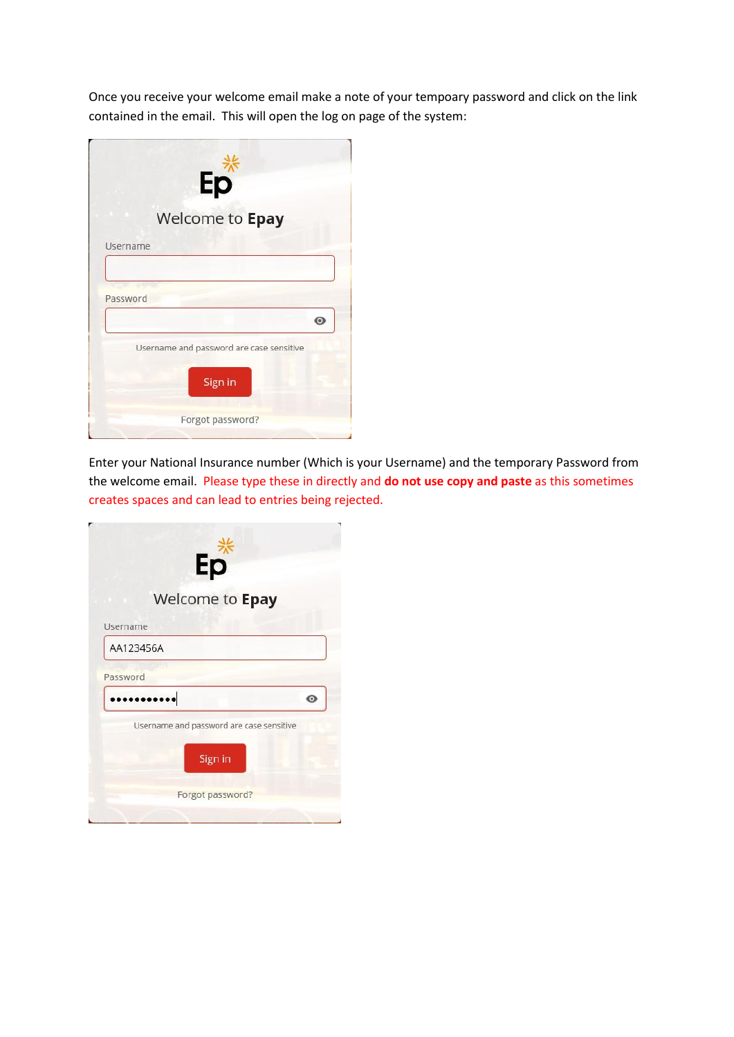Once you receive your welcome email make a note of your tempoary password and click on the link contained in the email. This will open the log on page of the system:

|          | Ep                                       |
|----------|------------------------------------------|
|          | Welcome to Epay                          |
| Username |                                          |
|          |                                          |
| Password |                                          |
|          | $\odot$                                  |
|          |                                          |
|          | Username and password are case sensitive |
|          | Sign in                                  |

Enter your National Insurance number (Which is your Username) and the temporary Password from the welcome email. Please type these in directly and **do not use copy and paste** as this sometimes creates spaces and can lead to entries being rejected.

| Ep                                       |         |
|------------------------------------------|---------|
| Welcome to Epay                          |         |
| Username                                 |         |
| AA123456A                                |         |
| Password                                 |         |
|                                          | $\circ$ |
| Username and password are case sensitive |         |
| Sign in                                  |         |
| Forgot password?                         |         |
|                                          |         |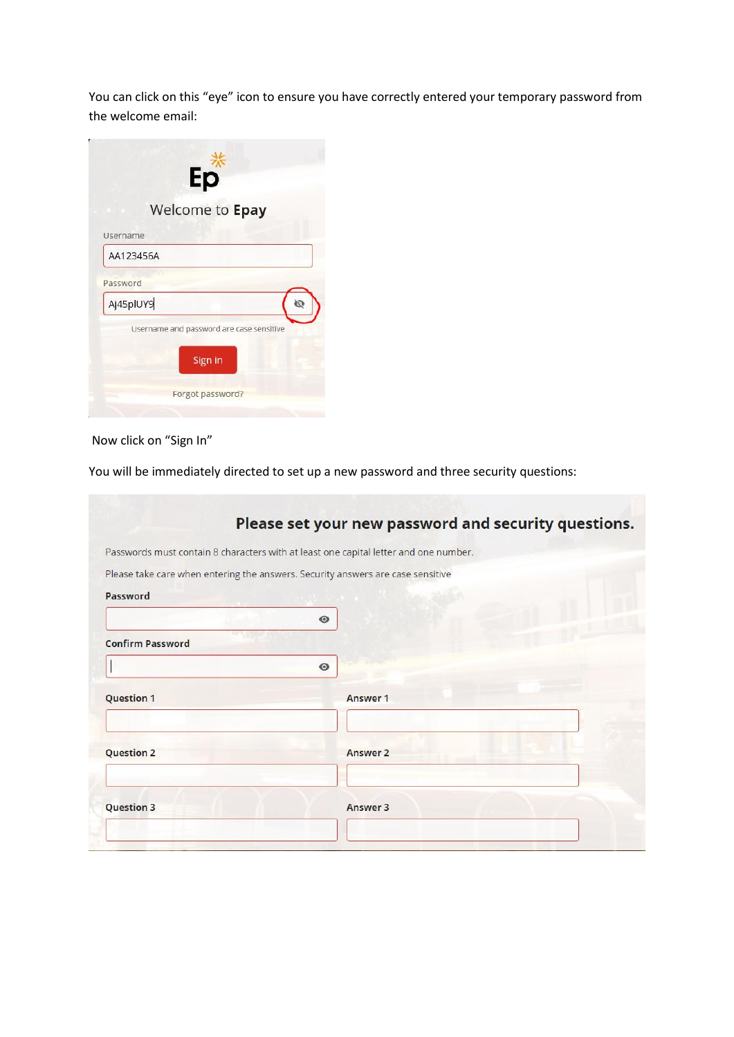You can click on this "eye" icon to ensure you have correctly entered your temporary password from the welcome email:

|                                          | Ep<br>Welcome to Epay |         |  |
|------------------------------------------|-----------------------|---------|--|
| Username                                 |                       |         |  |
| AA123456A                                |                       |         |  |
| Password                                 |                       |         |  |
| Aj45plUY9                                |                       |         |  |
| Username and password are case sensitive |                       |         |  |
|                                          |                       | Sign in |  |

## Now click on "Sign In"

You will be immediately directed to set up a new password and three security questions:

|                                                                                 |           | Please set your new password and security questions.                                 |
|---------------------------------------------------------------------------------|-----------|--------------------------------------------------------------------------------------|
|                                                                                 |           | Passwords must contain 8 characters with at least one capital letter and one number. |
| Please take care when entering the answers. Security answers are case sensitive |           |                                                                                      |
| Password                                                                        |           |                                                                                      |
|                                                                                 | $\bullet$ |                                                                                      |
| <b>Confirm Password</b>                                                         |           |                                                                                      |
|                                                                                 | $\bullet$ |                                                                                      |
| <b>Question 1</b>                                                               |           | Answer 1                                                                             |
|                                                                                 |           |                                                                                      |
|                                                                                 |           |                                                                                      |
| <b>Question 2</b>                                                               |           | <b>Answer 2</b>                                                                      |
|                                                                                 |           |                                                                                      |
| <b>Question 3</b>                                                               |           | Answer 3                                                                             |
|                                                                                 |           |                                                                                      |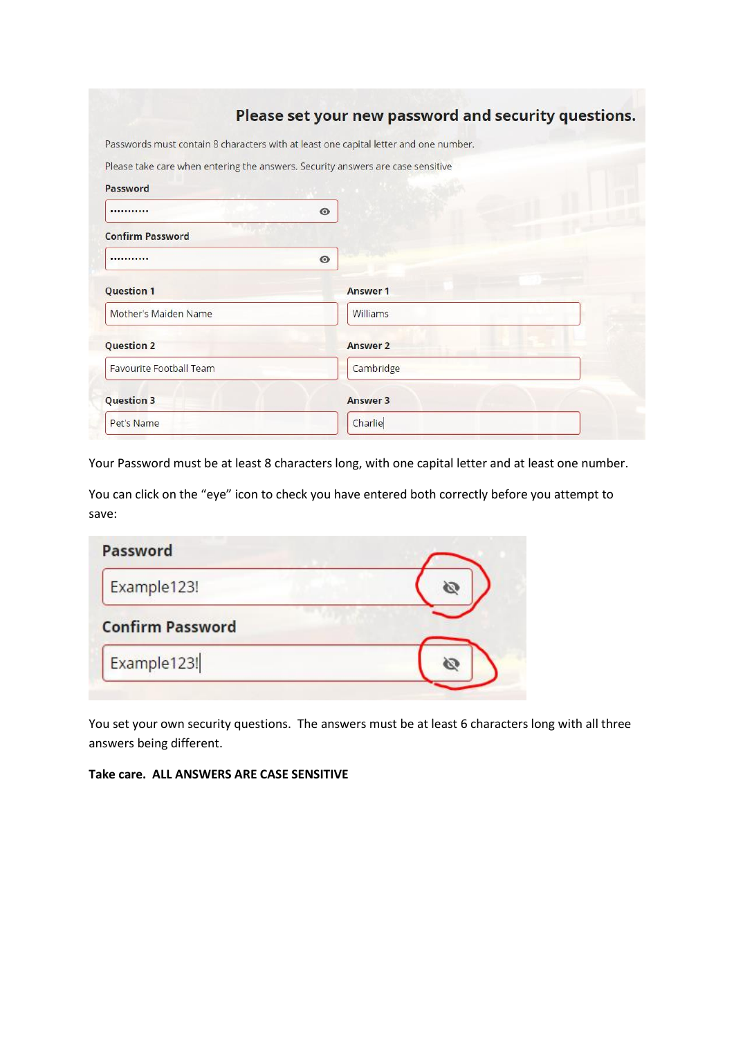|                                                                                 | Please set your new password and security questions.                                 |  |
|---------------------------------------------------------------------------------|--------------------------------------------------------------------------------------|--|
|                                                                                 | Passwords must contain 8 characters with at least one capital letter and one number. |  |
| Please take care when entering the answers. Security answers are case sensitive |                                                                                      |  |
| Password                                                                        |                                                                                      |  |
|                                                                                 | $\bullet$                                                                            |  |
| <b>Confirm Password</b>                                                         |                                                                                      |  |
|                                                                                 | $\odot$                                                                              |  |
| <b>Question 1</b>                                                               | Answer 1                                                                             |  |
| Mother's Maiden Name                                                            | Williams                                                                             |  |
| <b>Question 2</b>                                                               | <b>Answer 2</b>                                                                      |  |
| <b>Favourite Football Team</b>                                                  | Cambridge                                                                            |  |
| <b>Question 3</b>                                                               | Answer 3                                                                             |  |
| Pet's Name                                                                      | Charlie                                                                              |  |
|                                                                                 |                                                                                      |  |

Your Password must be at least 8 characters long, with one capital letter and at least one number.

You can click on the "eye" icon to check you have entered both correctly before you attempt to save:

| Password                |  |
|-------------------------|--|
| Example123!             |  |
| <b>Confirm Password</b> |  |
| Example123!             |  |

You set your own security questions. The answers must be at least 6 characters long with all three answers being different.

## **Take care. ALL ANSWERS ARE CASE SENSITIVE**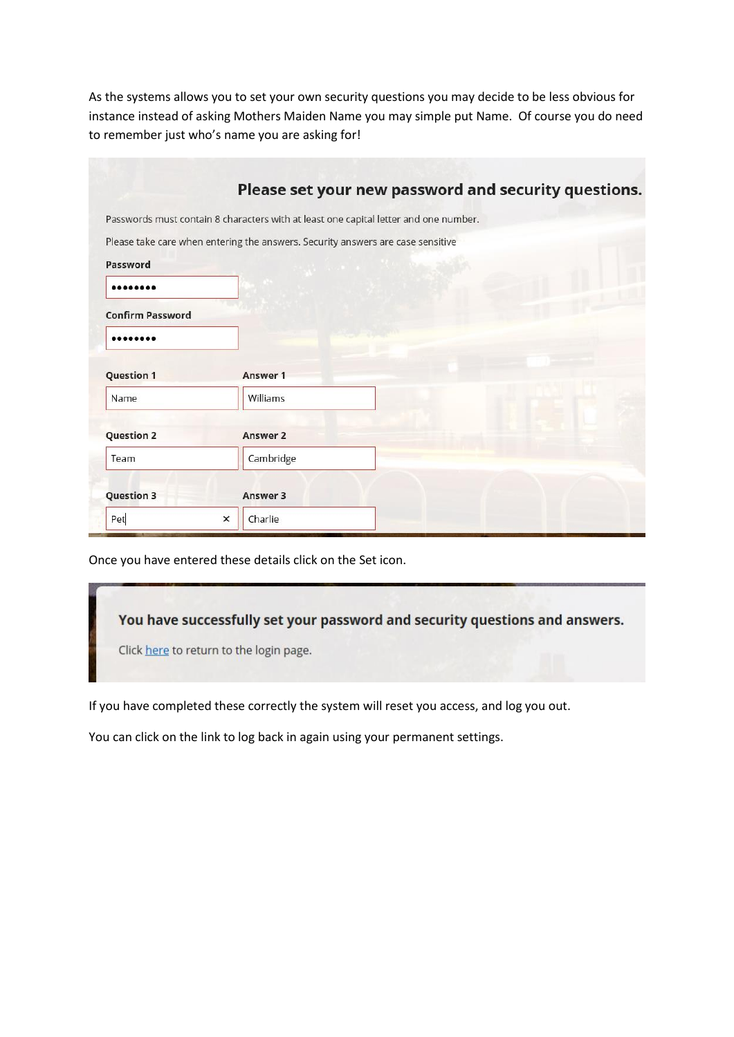As the systems allows you to set your own security questions you may decide to be less obvious for instance instead of asking Mothers Maiden Name you may simple put Name. Of course you do need to remember just who's name you are asking for!

|                         | Please set your new password and security questions.                                 |  |
|-------------------------|--------------------------------------------------------------------------------------|--|
|                         | Passwords must contain 8 characters with at least one capital letter and one number. |  |
|                         | Please take care when entering the answers. Security answers are case sensitive      |  |
| Password                |                                                                                      |  |
|                         |                                                                                      |  |
| <b>Confirm Password</b> |                                                                                      |  |
|                         |                                                                                      |  |
| <b>Question 1</b>       | Answer 1                                                                             |  |
| Name                    | Williams                                                                             |  |
|                         |                                                                                      |  |
| <b>Question 2</b>       | Answer 2                                                                             |  |
| Team                    | Cambridge                                                                            |  |
| <b>Question 3</b>       | Answer 3                                                                             |  |
|                         |                                                                                      |  |

Once you have entered these details click on the Set icon.

You have successfully set your password and security questions and answers.

Click here to return to the login page.

If you have completed these correctly the system will reset you access, and log you out.

You can click on the link to log back in again using your permanent settings.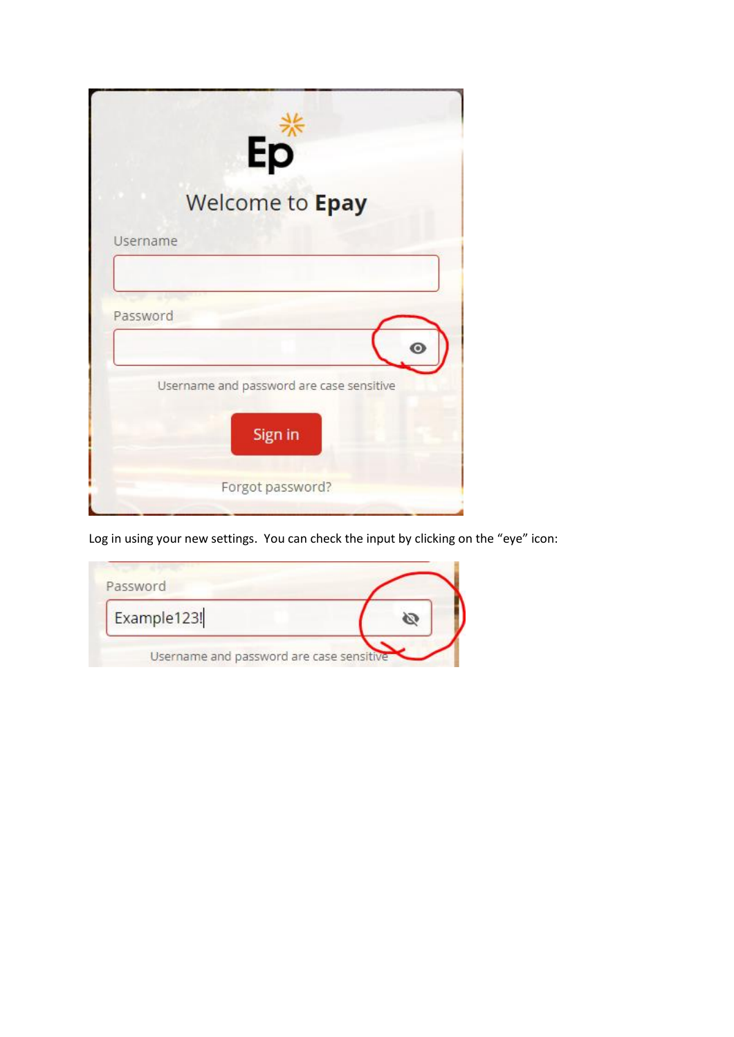|          | Ep                                                  |
|----------|-----------------------------------------------------|
|          | Welcome to Epay                                     |
|          | Username                                            |
| Password | ō                                                   |
|          | Username and password are case sensitive<br>Sign in |
|          | Forgot password?                                    |

Log in using your new settings. You can check the input by clicking on the "eye" icon:

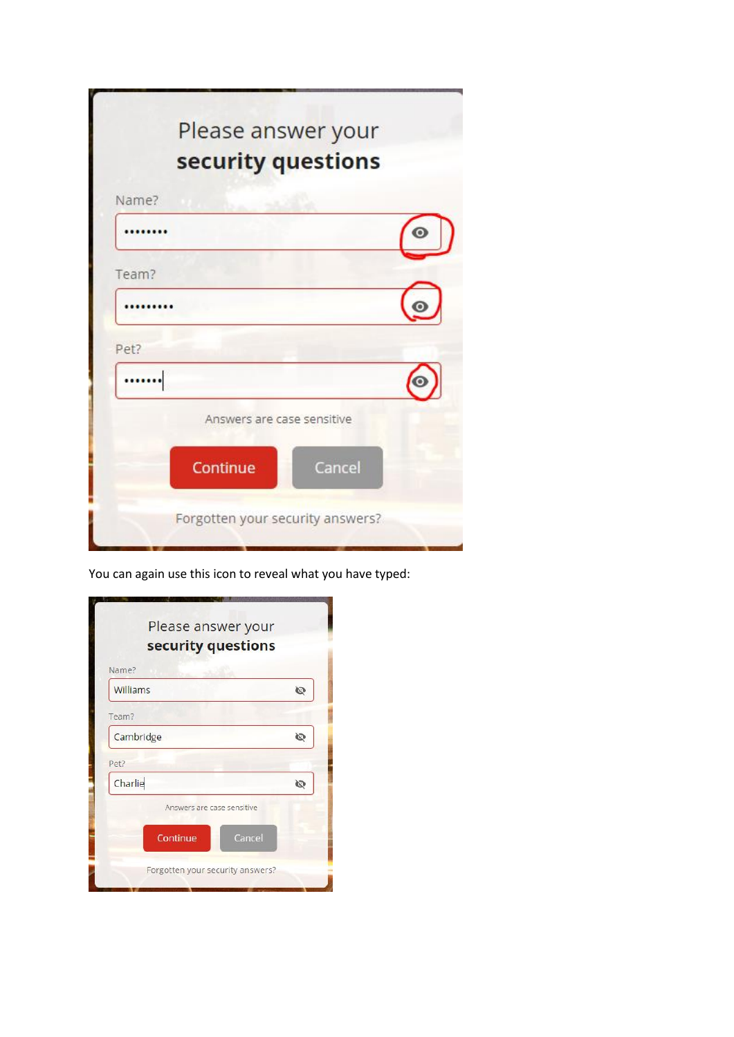|       | Please answer your<br>security questions |  |
|-------|------------------------------------------|--|
| Name? |                                          |  |
|       |                                          |  |
| Team? |                                          |  |
|       |                                          |  |
| Pet?  |                                          |  |
|       |                                          |  |
|       | Answers are case sensitive               |  |
|       | Cancel<br>Continue                       |  |
|       | Forgotten your security answers?         |  |

You can again use this icon to reveal what you have typed:

| Please answer your<br>security questions |        |
|------------------------------------------|--------|
| Name?                                    |        |
| Williams                                 | Ø      |
| Team?                                    |        |
| Cambridge                                | Ø      |
| Pet?                                     |        |
| Charlie                                  | Ø      |
| Answers are case sensitive<br>Continue   | Cancel |
| Forgotten your security answers?         |        |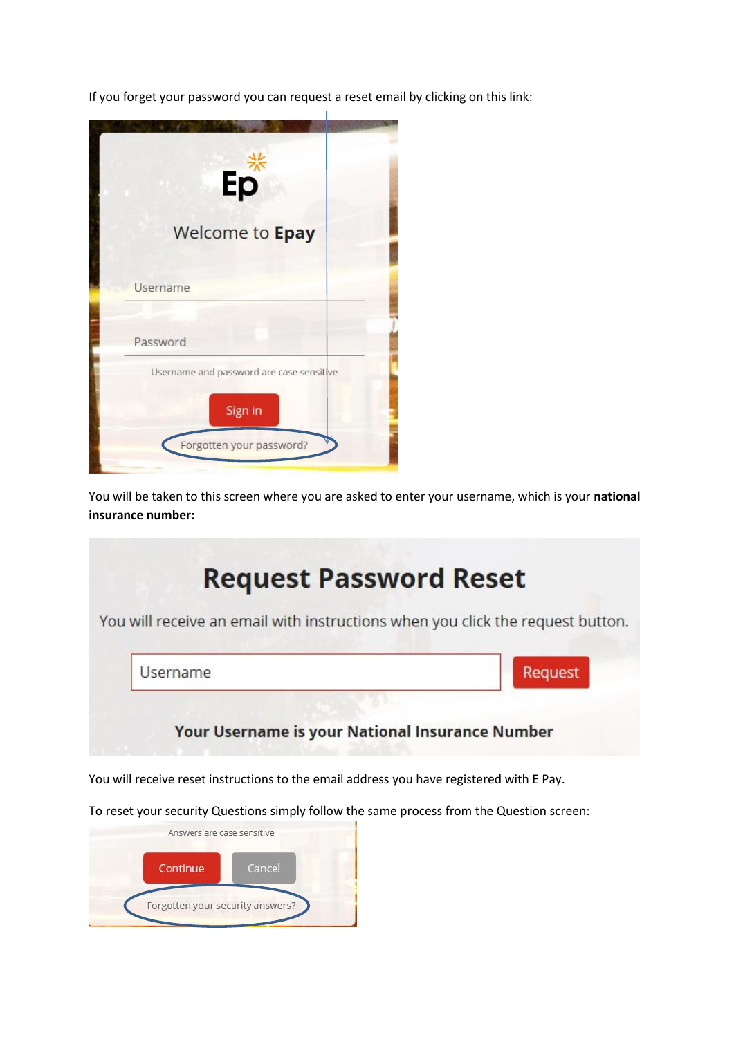If you forget your password you can request a reset email by clicking on this link:



You will be taken to this screen where you are asked to enter your username, which is your **national insurance number:**



You will receive reset instructions to the email address you have registered with E Pay.

To reset your security Questions simply follow the same process from the Question screen:

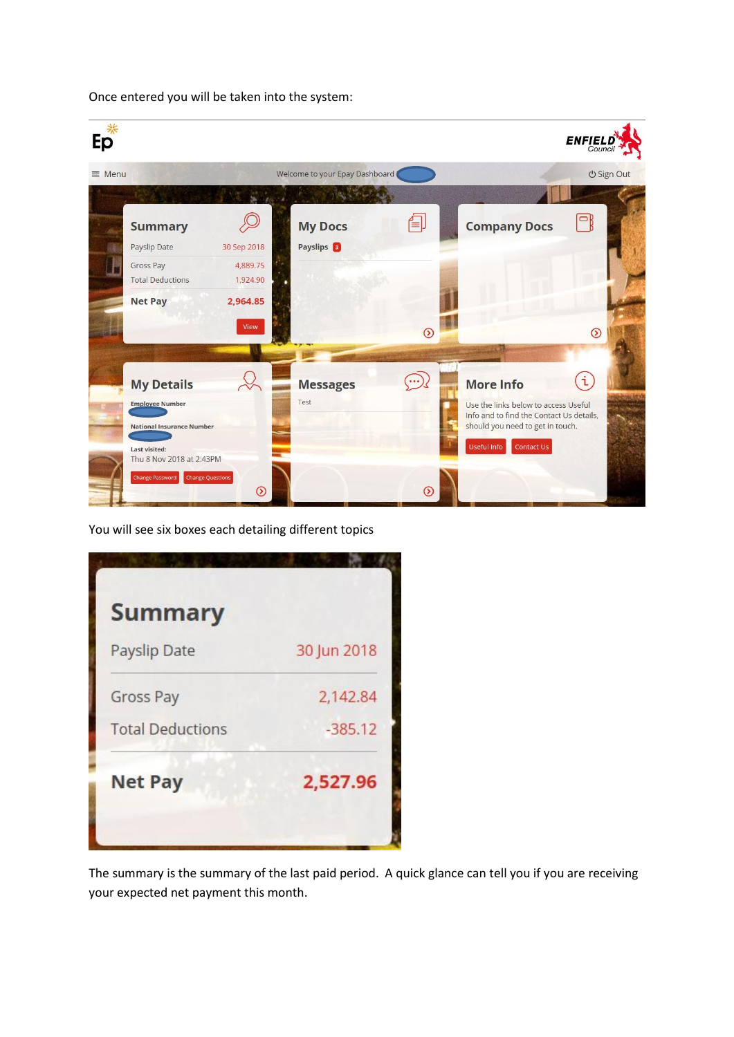Once entered you will be taken into the system:



You will see six boxes each detailing different topics

| <b>Summary</b>          |             |
|-------------------------|-------------|
| Payslip Date            | 30 Jun 2018 |
| Gross Pay               | 2,142.84    |
| <b>Total Deductions</b> | $-385.12$   |
| <b>Net Pay</b>          | 2,527.96    |
|                         |             |

The summary is the summary of the last paid period. A quick glance can tell you if you are receiving your expected net payment this month.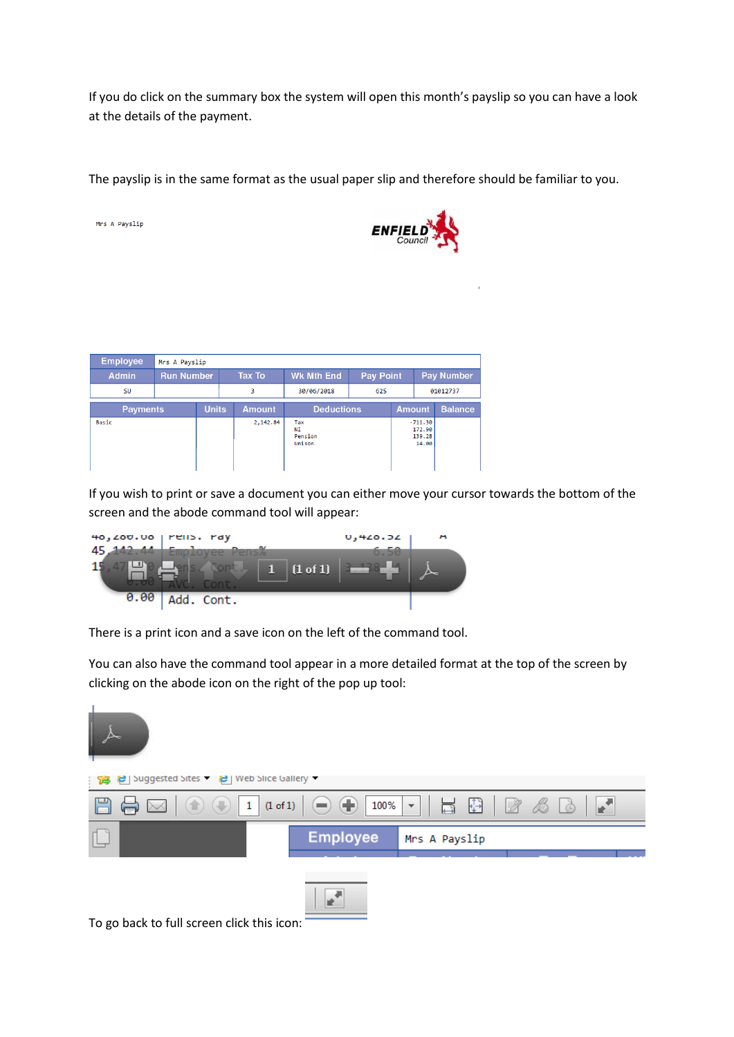If you do click on the summary box the system will open this month's payslip so you can have a look at the details of the payment.

The payslip is in the same format as the usual paper slip and therefore should be familiar to you.



| <b>Employee</b> | Mrs A Payslip     |              |  |               |                                |                  |               |                                        |                |
|-----------------|-------------------|--------------|--|---------------|--------------------------------|------------------|---------------|----------------------------------------|----------------|
| <b>Admin</b>    | <b>Run Number</b> |              |  | <b>Tax To</b> | <b>Wk Mth End</b>              | <b>Pay Point</b> |               | Pay Number                             |                |
| <b>SU</b>       |                   |              |  | з             | 30/06/2018                     | 625              |               | 01012737                               |                |
| <b>Payments</b> |                   | <b>Units</b> |  | <b>Amount</b> | <b>Deductions</b>              |                  | <b>Amount</b> |                                        | <b>Balance</b> |
| Basic           |                   |              |  | 2,142.84      | Tax<br>NΙ<br>Pension<br>Unison |                  |               | $-711.30$<br>172.90<br>139.28<br>14.00 |                |

Mrs A Payslip

If you wish to print or save a document you can either move your cursor towards the bottom of the screen and the abode command tool will appear:

| $40,200.00$ $^{\circ}$ $^{\circ}$ $^{\circ}$ $^{\circ}$ $^{\circ}$ $^{\circ}$ $^{\circ}$ $^{\circ}$ $^{\circ}$ $^{\circ}$ $^{\circ}$ $^{\circ}$ $^{\circ}$ $^{\circ}$ $^{\circ}$ $^{\circ}$ $^{\circ}$ $^{\circ}$ $^{\circ}$ $^{\circ}$ $^{\circ}$ $^{\circ}$ $^{\circ}$ $^{\circ}$ $^{\circ}$ $^{\circ}$ $^{\circ}$ $^{\circ}$ $^{\circ}$ $^{\circ}$ |                 | <b>U,420.32</b> | m |
|-------------------------------------------------------------------------------------------------------------------------------------------------------------------------------------------------------------------------------------------------------------------------------------------------------------------------------------------------------|-----------------|-----------------|---|
|                                                                                                                                                                                                                                                                                                                                                       | <b>ALL CONT</b> |                 |   |
|                                                                                                                                                                                                                                                                                                                                                       | (1 of 1)        |                 |   |
| 0.00                                                                                                                                                                                                                                                                                                                                                  | Add. Cont.      |                 |   |

There is a print icon and a save icon on the left of the command tool.

You can also have the command tool appear in a more detailed format at the top of the screen by clicking on the abode icon on the right of the pop up tool:

| 1999 C Suggested Sites T C Web Slice Gallery |                 |               |
|----------------------------------------------|-----------------|---------------|
|                                              |                 |               |
|                                              | <b>Employee</b> | Mrs A Payslip |
|                                              |                 |               |

To go back to full screen click this icon: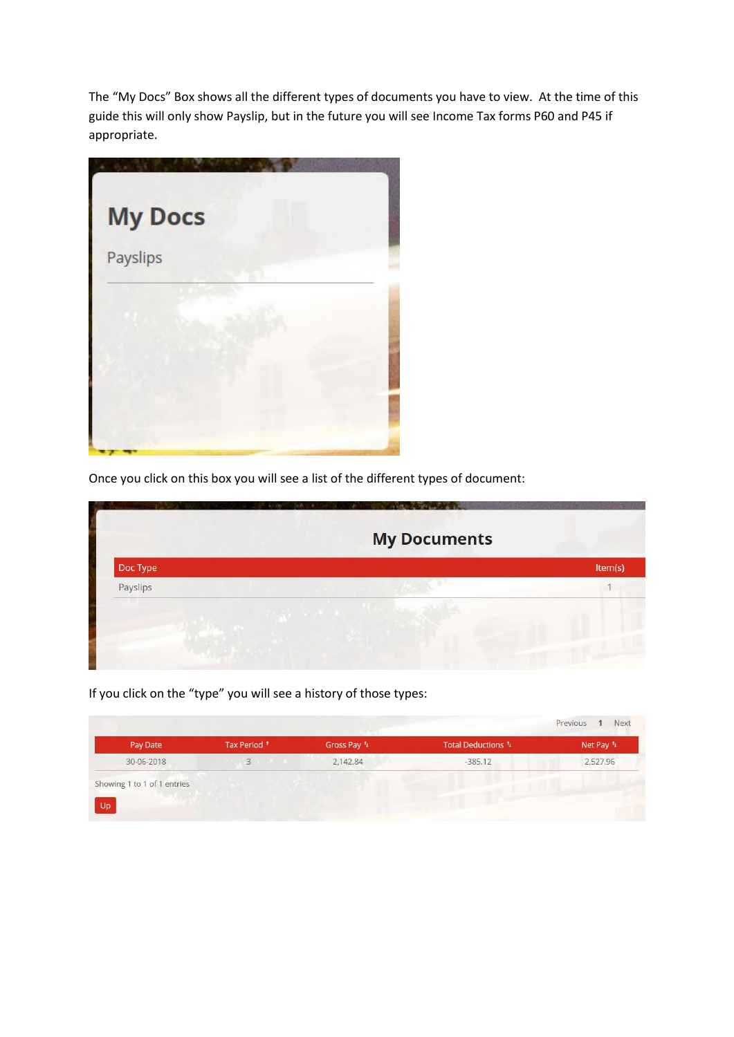The "My Docs" Box shows all the different types of documents you have to view. At the time of this guide this will only show Payslip, but in the future you will see Income Tax forms P60 and P45 if appropriate.



Once you click on this box you will see a list of the different types of document:

|          | <b>My Documents</b> |         |
|----------|---------------------|---------|
| Doc Type |                     | Item(s) |
| Payslips |                     |         |
|          |                     |         |

If you click on the "type" you will see a history of those types:

| Pay Date                    | Tax Period <sup>+</sup> | Gross Pay 1 | Total Deductions 1 | Net Pay <sup>1</sup> |
|-----------------------------|-------------------------|-------------|--------------------|----------------------|
| 30-06-2018                  | $3^{\circ}$             | 2,142.84    | $-385.12$          | 2,527.96             |
|                             |                         |             |                    |                      |
| Showing 1 to 1 of 1 entries |                         |             |                    |                      |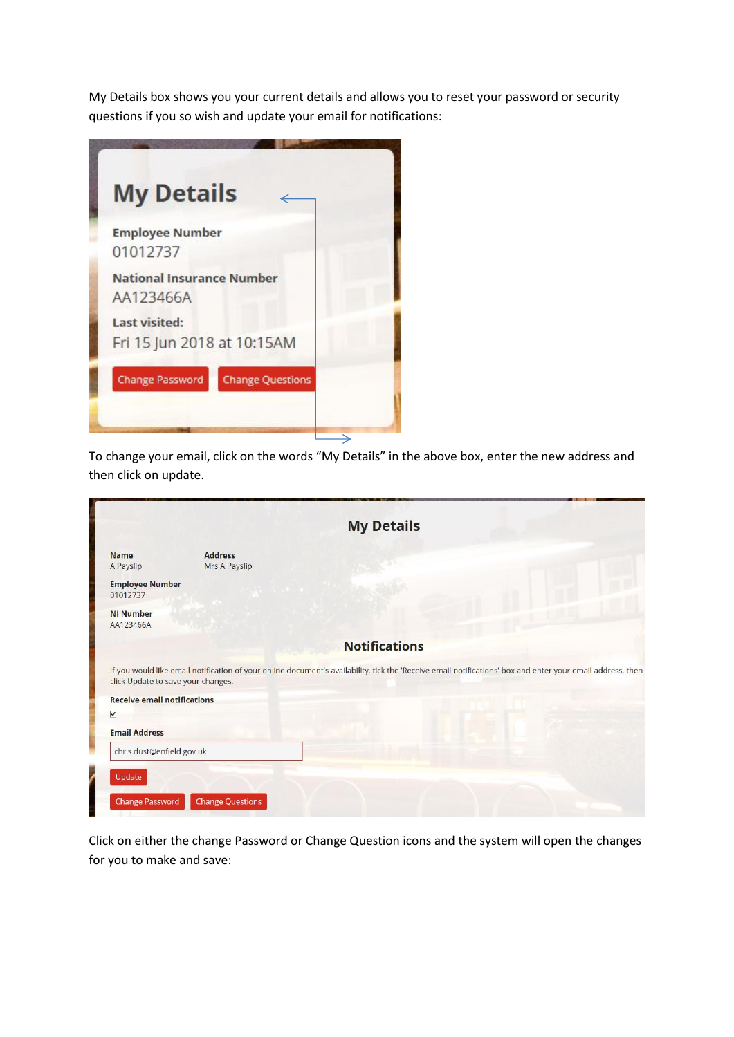My Details box shows you your current details and allows you to reset your password or security questions if you so wish and update your email for notifications:

| <b>My Details</b>                                  |  |
|----------------------------------------------------|--|
| <b>Employee Number</b><br>01012737                 |  |
| <b>National Insurance Number</b><br>AA123466A      |  |
| <b>Last visited:</b><br>Fri 15 Jun 2018 at 10:15AM |  |
| <b>Change Password</b><br><b>Change Questions</b>  |  |

To change your email, click on the words "My Details" in the above box, enter the new address and then click on update.

|                                    |                                 | <b>My Details</b>                                                                                                                                          |  |
|------------------------------------|---------------------------------|------------------------------------------------------------------------------------------------------------------------------------------------------------|--|
| <b>Name</b><br>A Payslip           | <b>Address</b><br>Mrs A Payslip |                                                                                                                                                            |  |
| <b>Employee Number</b><br>01012737 |                                 |                                                                                                                                                            |  |
| <b>NI Number</b><br>AA123466A      |                                 |                                                                                                                                                            |  |
|                                    |                                 | <b>Notifications</b>                                                                                                                                       |  |
| click Update to save your changes. |                                 | If you would like email notification of your online document's availability, tick the 'Receive email notifications' box and enter your email address, then |  |
| <b>Receive email notifications</b> |                                 |                                                                                                                                                            |  |
| $\overline{\mathsf{v}}$            |                                 |                                                                                                                                                            |  |
| <b>Email Address</b>               |                                 |                                                                                                                                                            |  |
|                                    |                                 |                                                                                                                                                            |  |

Click on either the change Password or Change Question icons and the system will open the changes for you to make and save: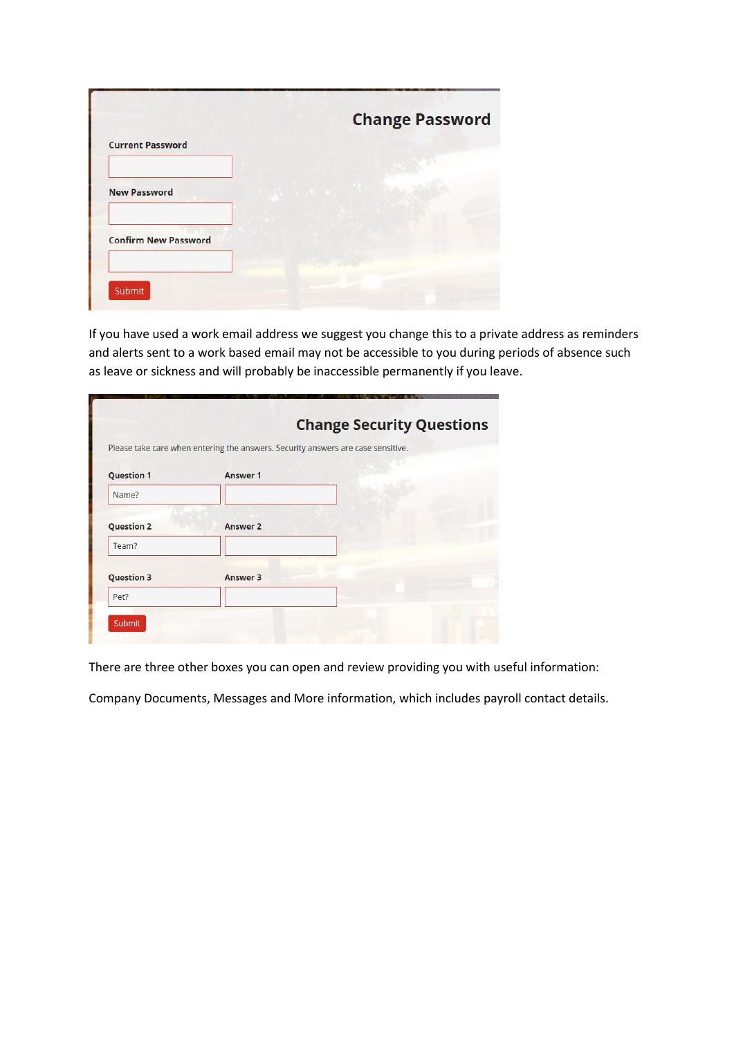|                             | <b>Change Password</b> |
|-----------------------------|------------------------|
| <b>Current Password</b>     |                        |
|                             |                        |
| <b>New Password</b>         |                        |
|                             |                        |
| <b>Confirm New Password</b> |                        |
|                             |                        |

If you have used a work email address we suggest you change this to a private address as reminders and alerts sent to a work based email may not be accessible to you during periods of absence such as leave or sickness and will probably be inaccessible permanently if you leave.

|                   | Please take care when entering the answers. Security answers are case sensitive. | <b>Change Security Questions</b> |
|-------------------|----------------------------------------------------------------------------------|----------------------------------|
| <b>Question 1</b> | <b>Answer 1</b>                                                                  |                                  |
| Name?             |                                                                                  |                                  |
| <b>Question 2</b> | <b>Answer 2</b>                                                                  |                                  |
| Team?             |                                                                                  |                                  |
| <b>Question 3</b> | Answer 3                                                                         |                                  |
| Pet?              |                                                                                  |                                  |

There are three other boxes you can open and review providing you with useful information:

Company Documents, Messages and More information, which includes payroll contact details.